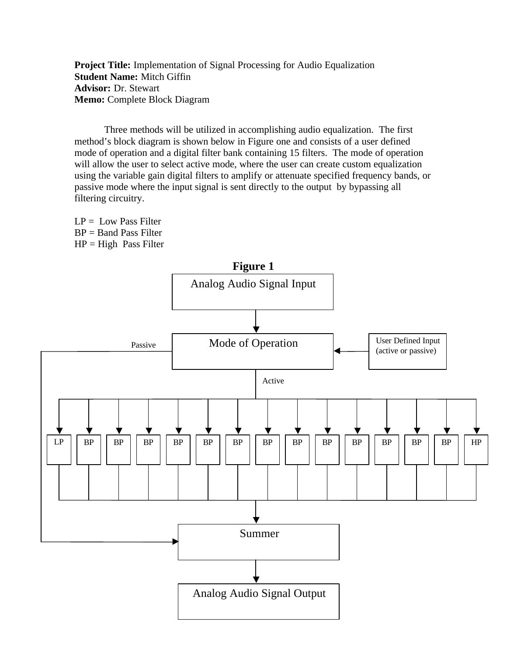**Project Title:** Implementation of Signal Processing for Audio Equalization **Student Name:** Mitch Giffin **Advisor:** Dr. Stewart **Memo:** Complete Block Diagram

Three methods will be utilized in accomplishing audio equalization. The first method's block diagram is shown below in Figure one and consists of a user defined mode of operation and a digital filter bank containing 15 filters. The mode of operation will allow the user to select active mode, where the user can create custom equalization using the variable gain digital filters to amplify or attenuate specified frequency bands, or passive mode where the input signal is sent directly to the output by bypassing all filtering circuitry.

 $LP =$  Low Pass Filter BP = Band Pass Filter  $HP = High$  Pass Filter

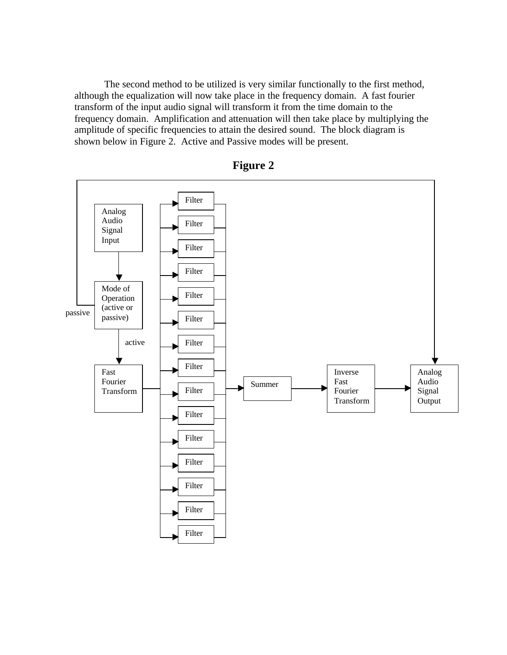The second method to be utilized is very similar functionally to the first method, although the equalization will now take place in the frequency domain. A fast fourier transform of the input audio signal will transform it from the time domain to the frequency domain. Amplification and attenuation will then take place by multiplying the amplitude of specific frequencies to attain the desired sound. The block diagram is shown below in Figure 2. Active and Passive modes will be present.